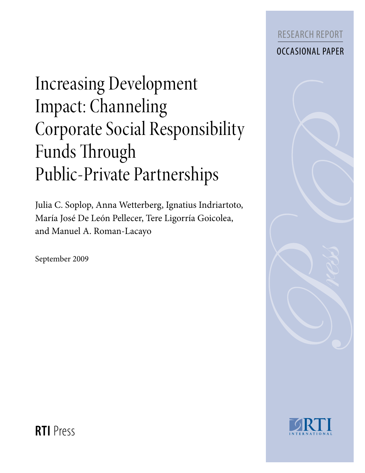

# Increasing Development Impact: Channeling Corporate Social Responsibility Funds Through Public-Private Partnerships

Julia C. Soplop, Anna Wetterberg, Ignatius Indriartoto, María José De León Pellecer, Tere Ligorría Goicolea, and Manuel A. Roman-Lacayo

September 2009





**RTI** Press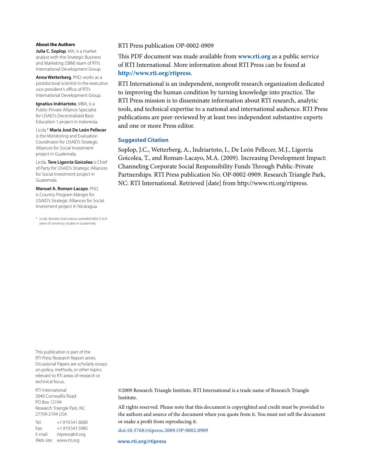#### **About the Authors**

**Julia C. Soplop**, MA, is a market analyst with the Strategic Business and Marketing (SBM) team of RTI's International Development Group.

**Anna Wetterberg**, PhD, works as a postdoctoral scientist in the executive vice president's office of RTI's International Development Group.

**Ignatius Indriartoto**, MBA, is a Public-Private Alliance Specialist for USAID's Decentralized Basic Education 1 project in Indonesia.

Licda.\* **María José De León Pellecer** is the Monitoring and Evaluation Coordinator for USAID's Strategic Alliances for Social Investment project in Guatemala.

Licda. **Tere Ligorría Goicolea** is Chief of Party for USAID's Strategic Alliances for Social Investment project in Guatemala.

**Manuel A. Roman-Lacayo**, PhD, is Country Program Manger for USAID's Strategic Alliances for Social Investment project in Nicaragua.

\* Licda. denotes licenciatura, awarded after 5 to 6 years of university studies in Guatemala.

#### RTI Press publication OP-0002-0909

This PDF document was made available from **www.rti.org** as a public service of RTI International. More information about RTI Press can be found at **http://www.rti.org/rtipress**.

RTI International is an independent, nonprofit research organization dedicated to improving the human condition by turning knowledge into practice. The RTI Press mission is to disseminate information about RTI research, analytic tools, and technical expertise to a national and international audience. RTI Press publications are peer-reviewed by at least two independent substantive experts and one or more Press editor.

#### **Suggested Citation**

Soplop, J.C., Wetterberg, A., Indriartoto, I., De León Pellecer, M.J., Ligorría Goicolea, T., and Roman-Lacayo, M.A. (2009). Increasing Development Impact: Channeling Corporate Social Responsibility Funds Through Public-Private Partnerships. RTI Press publication No. OP-0002-0909. Research Triangle Park, NC: RTI International. Retrieved [date] from http://www.rti.org/rtipress.

This publication is part of the RTI Press Research Report series. Occasional Papers are scholarly essays on policy, methods, or other topics relevant to RTI areas of research or technical focus.

RTI International 3040 Cornwallis Road PO Box 12194 Research Triangle Park, NC 27709-2194 USA

Tel: +1.919.541.6000 Fax: +1.919.541.5985 E-mail: rtipress@rti.org Web site: www.rti.org

©2009 Research Triangle Institute. RTI International is a trade name of Research Triangle Institute.

All rights reserved. Please note that this document is copyrighted and credit must be provided to the authors and source of the document when you quote from it. You must not sell the document or make a profit from reproducing it.

**doi:10.3768/rtipress.2009.OP-0002.0909**

**www.rti.org/rtipress**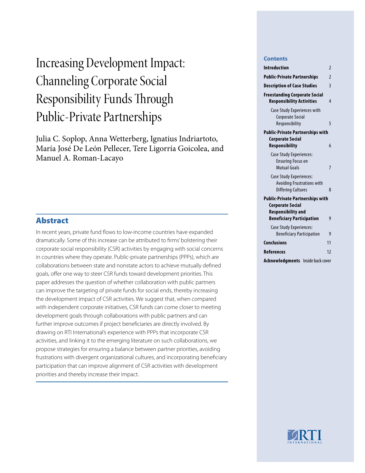## Increasing Development Impact: Channeling Corporate Social Responsibility Funds Through Public-Private Partnerships

Julia C. Soplop, Anna Wetterberg, Ignatius Indriartoto, María José De León Pellecer, Tere Ligorría Goicolea, and Manuel A. Roman-Lacayo

## Abstract

In recent years, private fund flows to low-income countries have expanded dramatically. Some of this increase can be attributed to firms' bolstering their corporate social responsibility (CSR) activities by engaging with social concerns in countries where they operate. Public-private partnerships (PPPs), which are collaborations between state and nonstate actors to achieve mutually defined goals, offer one way to steer CSR funds toward development priorities. This paper addresses the question of whether collaboration with public partners can improve the targeting of private funds for social ends, thereby increasing the development impact of CSR activities. We suggest that, when compared with independent corporate initiatives, CSR funds can come closer to meeting development goals through collaborations with public partners and can further improve outcomes if project beneficiaries are directly involved. By drawing on RTI International's experience with PPPs that incorporate CSR activities, and linking it to the emerging literature on such collaborations, we propose strategies for ensuring a balance between partner priorities, avoiding frustrations with divergent organizational cultures, and incorporating beneficiary participation that can improve alignment of CSR activities with development priorities and thereby increase their impact.

#### **Contents**

| <b>Introduction</b>                                                                       | $\overline{2}$          |
|-------------------------------------------------------------------------------------------|-------------------------|
| <b>Public-Private Partnerships</b>                                                        | 2                       |
| <b>Description of Case Studies</b>                                                        | 3                       |
| <b>Freestanding Corporate Social</b><br><b>Responsibility Activities</b>                  | 4                       |
| <b>Case Study Experiences with</b><br><b>Corporate Social</b><br>Responsibility           | 5                       |
| <b>Public-Private Partnerships with</b>                                                   |                         |
| <b>Corporate Social</b><br><b>Responsibility</b>                                          | 6                       |
| Case Study Experiences:<br><b>Ensuring Focus on</b><br>Mutual Goals                       | 7                       |
| Case Study Experiences:<br><b>Avoiding Frustrations with</b><br><b>Differing Cultures</b> | $\mathsf{\overline{8}}$ |
| <b>Public-Private Partnerships with</b>                                                   |                         |
| <b>Corporate Social</b><br><b>Responsibility and</b><br><b>Beneficiary Participation</b>  | 9                       |
| Case Study Experiences:<br><b>Beneficiary Participation</b>                               | g                       |
| <b>Conclusions</b>                                                                        | 11                      |
| <b>References</b>                                                                         | 12                      |
| <b>Acknowledgments</b><br>Inside back cover                                               |                         |

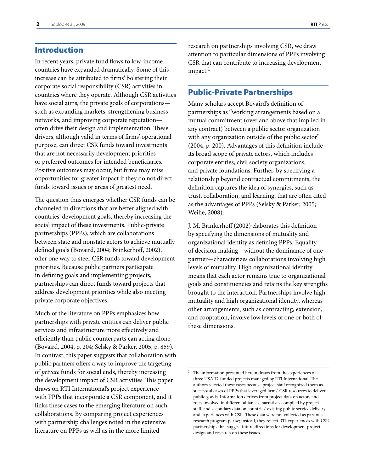### <span id="page-3-0"></span>Introduction

In recent years, private fund flows to low-income countries have expanded dramatically. Some of this increase can be attributed to firms' bolstering their corporate social responsibility (CSR) activities in countries where they operate. Although CSR activities have social aims, the private goals of corporations such as expanding markets, strengthening business networks, and improving corporate reputation often drive their design and implementation. These drivers, although valid in terms of firms' operational purpose, can direct CSR funds toward investments that are not necessarily development priorities or preferred outcomes for intended beneficiaries. Positive outcomes may occur, but firms may miss opportunities for greater impact if they do not direct funds toward issues or areas of greatest need.

The question thus emerges whether CSR funds can be channeled in directions that are better aligned with countries' development goals, thereby increasing the social impact of these investments. Public-private partnerships (PPPs), which are collaborations between state and nonstate actors to achieve mutually defined goals (Bovaird, 2004; Brinkerhoff, 2002), offer one way to steer CSR funds toward development priorities. Because public partners participate in defining goals and implementing projects, partnerships can direct funds toward projects that address development priorities while also meeting private corporate objectives.

Much of the literature on PPPs emphasizes how partnerships with private entities can deliver public services and infrastructure more effectively and efficiently than public counterparts can acting alone (Bovaird, 2004, p. 204; Selsky & Parker, 2005, p. 859). In contrast, this paper suggests that collaboration with public partners offers a way to improve the targeting of *private* funds for social ends, thereby increasing the development impact of CSR activities. This paper draws on RTI International's project experience with PPPs that incorporate a CSR component, and it links these cases to the emerging literature on such collaborations. By comparing project experiences with partnership challenges noted in the extensive literature on PPPs as well as in the more limited

research on partnerships involving CSR, we draw attention to particular dimensions of PPPs involving CSR that can contribute to increasing development impact.<sup>1</sup>

#### Public-Private Partnerships

Many scholars accept Bovaird's definition of partnerships as "working arrangements based on a mutual commitment (over and above that implied in any contract) between a public sector organization with any organization outside of the public sector" (2004, p. 200). Advantages of this definition include its broad scope of private actors, which includes corporate entities, civil society organizations, and private foundations. Further, by specifying a relationship beyond contractual commitments, the definition captures the idea of synergies, such as trust, collaboration, and learning, that are often cited as the advantages of PPPs (Selsky & Parker, 2005; Weihe, 2008).

J. M. Brinkerhoff (2002) elaborates this definition by specifying the dimensions of mutuality and organizational identity as defining PPPs. Equality of decision making—without the dominance of one partner—characterizes collaborations involving high levels of mutuality. High organizational identity means that each actor remains true to organizational goals and constituencies and retains the key strengths brought to the interaction. Partnerships involve high mutuality and high organizational identity, whereas other arrangements, such as contracting, extension, and cooptation, involve low levels of one or both of these dimensions.

 $^{\rm 1}~$  The information presented herein draws from the experiences of three USAID-funded projects managed by RTI International. The authors selected these cases because project staff recognized them as successful cases of PPPs that leveraged firms' CSR resources to deliver public goods. Information derives from project data on actors and roles involved in different alliances, narratives compiled by project staff, and secondary data on countries' existing public service delivery and experiences with CSR. These data were not collected as part of a research program per se; instead, they reflect RTI experiences with CSR partnerships that suggest future directions for development project design and research on these issues.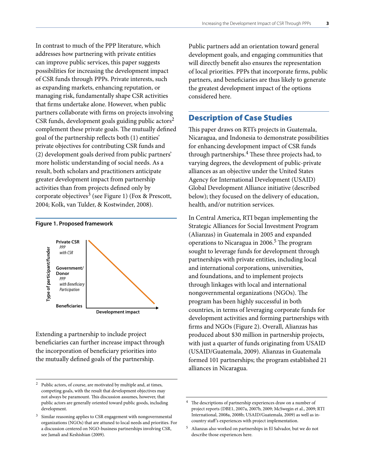<span id="page-4-0"></span>In contrast to much of the PPP literature, which addresses how partnering with private entities can improve public services, this paper suggests possibilities for increasing the development impact of CSR funds through PPPs. Private interests, such as expanding markets, enhancing reputation, or managing risk, fundamentally shape CSR activities that firms undertake alone. However, when public partners collaborate with firms on projects involving CSR funds, development goals guiding public actors<sup>2</sup> complement these private goals. The mutually defined goal of the partnership reflects both (1) entities' private objectives for contributing CSR funds and (2) development goals derived from public partners' more holistic understanding of social needs. As a result, both scholars and practitioners anticipate greater development impact from partnership activities than from projects defined only by corporate objectives<sup>3</sup> (see Figure 1) (Fox & Prescott, 2004; Kolk, van Tulder, & Kostwinder, 2008).

#### **Figure 1. Proposed framework**



Extending a partnership to include project beneficiaries can further increase impact through the incorporation of beneficiary priorities into the mutually defined goals of the partnership.

Public partners add an orientation toward general development goals, and engaging communities that will directly benefit also ensures the representation of local priorities. PPPs that incorporate firms, public partners, and beneficiaries are thus likely to generate the greatest development impact of the options considered here.

### Description of Case Studies

This paper draws on RTI's projects in Guatemala, Nicaragua, and Indonesia to demonstrate possibilities for enhancing development impact of CSR funds through partnerships.4 These three projects had, to varying degrees, the development of public-private alliances as an objective under the United States Agency for International Development (USAID) Global Development Alliance initiative (described below); they focused on the delivery of education, health, and/or nutrition services.

In Central America, RTI began implementing the Strategic Alliances for Social Investment Program (Alianzas) in Guatemala in 2005 and expanded operations to Nicaragua in  $2006<sup>5</sup>$  The program sought to leverage funds for development through partnerships with private entities, including local and international corporations, universities, and foundations, and to implement projects through linkages with local and international nongovernmental organizations (NGOs). The program has been highly successful in both countries, in terms of leveraging corporate funds for development activities and forming partnerships with firms and NGOs (Figure 2). Overall, Alianzas has produced about \$30 million in partnership projects, with just a quarter of funds originating from USAID (USAID/Guatemala, 2009). Alianzas in Guatemala formed 101 partnerships; the program established 21 alliances in Nicaragua.

Public actors, of course, are motivated by multiple and, at times, competing goals, with the result that development objectives may not always be paramount. This discussion assumes, however, that public actors are generally oriented toward public goods, including development.

<sup>3</sup> Similar reasoning applies to CSR engagement with nongovernmental organizations (NGOs) that are attuned to local needs and priorities. For a discussion centered on NGO-business partnerships involving CSR, see Jamali and Keshishian (2009).

The descriptions of partnership experiences draw on a number of project reports (DBE1, 2007a, 2007b, 2009; McSwegin et al., 2009; RTI International, 2008a, 2008b; USAID/Guatemala, 2009) as well as incountry staff 's experiences with project implementation.

 $^5$  Alianzas also worked on partnerships in El Salvador, but we do not describe those experiences here.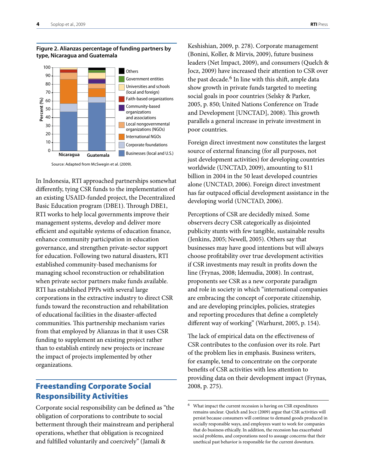

#### <span id="page-5-0"></span>**Figure 2. Alianzas percentage of funding partners by type, Nicaragua and Guatemala**

In Indonesia, RTI approached partnerships somewhat differently, tying CSR funds to the implementation of an existing USAID-funded project, the Decentralized Basic Education program (DBE1). Through DBE1, RTI works to help local governments improve their management systems, develop and deliver more efficient and equitable systems of education finance, enhance community participation in education governance, and strengthen private-sector support for education. Following two natural disasters, RTI established community-based mechanisms for managing school reconstruction or rehabilitation when private sector partners make funds available. RTI has established PPPs with several large corporations in the extractive industry to direct CSR funds toward the reconstruction and rehabilitation of educational facilities in the disaster-affected communities. This partnership mechanism varies from that employed by Alianzas in that it uses CSR funding to supplement an existing project rather than to establish entirely new projects or increase the impact of projects implemented by other organizations.

## Freestanding Corporate Social Responsibility Activities

Corporate social responsibility can be defined as "the obligation of corporations to contribute to social betterment through their mainstream and peripheral operations, whether that obligation is recognized and fulfilled voluntarily and coercively" (Jamali &

Keshishian, 2009, p. 278). Corporate management (Bonini, Koller, & Mirvis, 2009), future business leaders (Net Impact, 2009), and consumers (Quelch & Jocz, 2009) have increased their attention to CSR over the past decade. $6$  In line with this shift, ample data show growth in private funds targeted to meeting social goals in poor countries (Selsky & Parker, 2005, p. 850; United Nations Conference on Trade and Development [UNCTAD], 2008). This growth parallels a general increase in private investment in poor countries.

Foreign direct investment now constitutes the largest source of external financing (for all purposes, not just development activities) for developing countries worldwide (UNCTAD, 2009), amounting to \$11 billion in 2004 in the 50 least developed countries alone (UNCTAD, 2006). Foreign direct investment has far outpaced official development assistance in the developing world (UNCTAD, 2006).

Perceptions of CSR are decidedly mixed. Some observers decry CSR categorically as disjointed publicity stunts with few tangible, sustainable results (Jenkins, 2005; Newell, 2005). Others say that businesses may have good intentions but will always choose profitability over true development activities if CSR investments may result in profits down the line (Frynas, 2008; Idemudia, 2008). In contrast, proponents see CSR as a new corporate paradigm and role in society in which "international companies are embracing the concept of corporate citizenship, and are developing principles, policies, strategies and reporting procedures that define a completely different way of working" (Warhurst, 2005, p. 154).

The lack of empirical data on the effectiveness of CSR contributes to the confusion over its role. Part of the problem lies in emphasis. Business writers, for example, tend to concentrate on the corporate benefits of CSR activities with less attention to providing data on their development impact (Frynas, 2008, p. 275).

Source: Adapted from McSwegin et al. (2009).

<sup>6</sup> What impact the current recession is having on CSR expenditures remains unclear. Quelch and Jocz (2009) argue that CSR activities will persist because consumers will continue to demand goods produced in socially responsible ways, and employees want to work for companies that do business ethically. In addition, the recession has exacerbated social problems, and corporations need to assuage concerns that their unethical past behavior is responsible for the current downturn.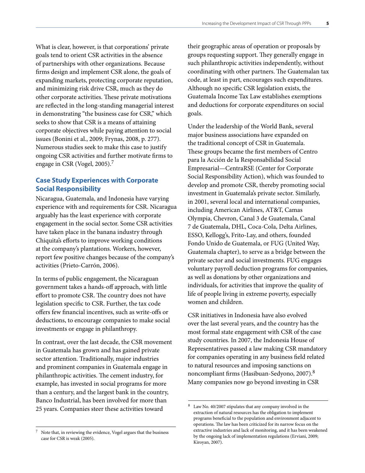<span id="page-6-0"></span>What is clear, however, is that corporations' private goals tend to orient CSR activities in the absence of partnerships with other organizations. Because firms design and implement CSR alone, the goals of expanding markets, protecting corporate reputation, and minimizing risk drive CSR, much as they do other corporate activities. These private motivations are reflected in the long-standing managerial interest in demonstrating "the business case for CSR," which seeks to show that CSR is a means of attaining corporate objectives while paying attention to social issues (Bonini et al., 2009; Frynas, 2008, p. 277). Numerous studies seek to make this case to justify ongoing CSR activities and further motivate firms to engage in CSR (Vogel, 2005).7

#### **Case Study Experiences with Corporate Social Responsibility**

Nicaragua, Guatemala, and Indonesia have varying experience with and requirements for CSR. Nicaragua arguably has the least experience with corporate engagement in the social sector. Some CSR activities have taken place in the banana industry through Chiquita's efforts to improve working conditions at the company's plantations. Workers, however, report few positive changes because of the company's activities (Prieto-Carrón, 2006).

In terms of public engagement, the Nicaraguan government takes a hands-off approach, with little effort to promote CSR. The country does not have legislation specific to CSR. Further, the tax code offers few financial incentives, such as write-offs or deductions, to encourage companies to make social investments or engage in philanthropy.

In contrast, over the last decade, the CSR movement in Guatemala has grown and has gained private sector attention. Traditionally, major industries and prominent companies in Guatemala engage in philanthropic activities. The cement industry, for example, has invested in social programs for more than a century, and the largest bank in the country, Banco Industrial, has been involved for more than 25 years. Companies steer these activities toward

their geographic areas of operation or proposals by groups requesting support. They generally engage in such philanthropic activities independently, without coordinating with other partners. The Guatemalan tax code, at least in part, encourages such expenditures. Although no specific CSR legislation exists, the Guatemala Income Tax Law establishes exemptions and deductions for corporate expenditures on social goals.

Under the leadership of the World Bank, several major business associations have expanded on the traditional concept of CSR in Guatemala. These groups became the first members of Centro para la Acción de la Responsabilidad Social Empresarial—CentraRSE (Center for Corporate Social Responsibility Action), which was founded to develop and promote CSR, thereby promoting social investment in Guatemala's private sector. Similarly, in 2001, several local and international companies, including American Airlines, AT&T, Camas Olympia, Chevron, Canal 3 de Guatemala, Canal 7 de Guatemala, DHL, Coca-Cola, Delta Airlines, ESSO, Kellogg's, Frito-Lay, and others, founded Fondo Unido de Guatemala, or FUG (United Way, Guatemala chapter), to serve as a bridge between the private sector and social investments. FUG engages voluntary payroll deduction programs for companies, as well as donations by other organizations and individuals, for activities that improve the quality of life of people living in extreme poverty, especially women and children.

CSR initiatives in Indonesia have also evolved over the last several years, and the country has the most formal state engagement with CSR of the case study countries. In 2007, the Indonesia House of Representatives passed a law making CSR mandatory for companies operating in any business field related to natural resources and imposing sanctions on noncompliant firms (Hasibuan-Sedyono, 2007).8 Many companies now go beyond investing in CSR

<sup>8</sup> Law No. 40/2007 stipulates that any company involved in the extraction of natural resources has the obligation to implement programs beneficial to the population and environment adjacent to operations. The law has been criticized for its narrow focus on the extractive industries and lack of monitoring, and it has been weakened by the ongoing lack of implementation regulations (Erviani, 2009; Kiroyan, 2007).

Note that, in reviewing the evidence, Vogel argues that the business case for CSR is weak (2005).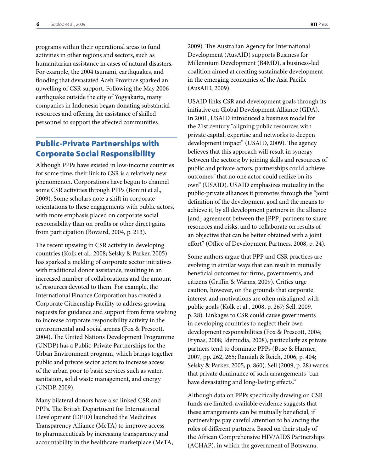<span id="page-7-0"></span>programs within their operational areas to fund activities in other regions and sectors, such as humanitarian assistance in cases of natural disasters. For example, the 2004 tsunami, earthquakes, and flooding that devastated Aceh Province sparked an upwelling of CSR support. Following the May 2006 earthquake outside the city of Yogyakarta, many companies in Indonesia began donating substantial resources and offering the assistance of skilled personnel to support the affected communities.

## Public-Private Partnerships with Corporate Social Responsibility

Although PPPs have existed in low-income countries for some time, their link to CSR is a relatively new phenomenon. Corporations have begun to channel some CSR activities through PPPs (Bonini et al., 2009). Some scholars note a shift in corporate orientations to these engagements with public actors, with more emphasis placed on corporate social responsibility than on profits or other direct gains from participation (Bovaird, 2004, p. 213).

The recent upswing in CSR activity in developing countries (Kolk et al., 2008; Selsky & Parker, 2005) has sparked a melding of corporate sector initiatives with traditional donor assistance, resulting in an increased number of collaborations and the amount of resources devoted to them. For example, the International Finance Corporation has created a Corporate Citizenship Facility to address growing requests for guidance and support from firms wishing to increase corporate responsibility activity in the environmental and social arenas (Fox & Prescott, 2004). The United Nations Development Programme (UNDP) has a Public-Private Partnerships for the Urban Environment program, which brings together public and private sector actors to increase access of the urban poor to basic services such as water, sanitation, solid waste management, and energy (UNDP, 2009).

Many bilateral donors have also linked CSR and PPPs. The British Department for International Development (DFID) launched the Medicines Transparency Alliance (MeTA) to improve access to pharmaceuticals by increasing transparency and accountability in the healthcare marketplace (MeTA, 2009). The Australian Agency for International Development (AusAID) supports Business for Millennium Development (B4MD), a business-led coalition aimed at creating sustainable development in the emerging economies of the Asia Pacific (AusAID, 2009).

USAID links CSR and development goals through its initiative on Global Development Alliance (GDA). In 2001, USAID introduced a business model for the 21st century "aligning public resources with private capital, expertise and networks to deepen development impact" (USAID, 2009). The agency believes that this approach will result in synergy between the sectors; by joining skills and resources of public and private actors, partnerships could achieve outcomes "that no one actor could realize on its own" (USAID). USAID emphasizes mutuality in the public-private alliances it promotes through the "joint definition of the development goal and the means to achieve it, by all development partners in the alliance [and] agreement between the [PPP] partners to share resources and risks, and to collaborate on results of an objective that can be better obtained with a joint effort" (Office of Development Partners, 2008, p. 24).

Some authors argue that PPP and CSR practices are evolving in similar ways that can result in mutually beneficial outcomes for firms, governments, and citizens (Griffin & Warms, 2009). Critics urge caution, however, on the grounds that corporate interest and motivations are often misaligned with public goals (Kolk et al., 2008, p. 267; Sell, 2009, p. 28). Linkages to CSR could cause governments in developing countries to neglect their own development responsibilities (Fox & Prescott, 2004; Frynas, 2008; Idemudia, 2008), particularly as private partners tend to dominate PPPs (Buse & Harmer, 2007, pp. 262, 265; Ramiah & Reich, 2006, p. 404; Selsky & Parker, 2005, p. 860). Sell (2009, p. 28) warns that private dominance of such arrangements "can have devastating and long-lasting effects."

Although data on PPPs specifically drawing on CSR funds are limited, available evidence suggests that these arrangements can be mutually beneficial, if partnerships pay careful attention to balancing the roles of different partners. Based on their study of the African Comprehensive HIV/AIDS Partnerships (ACHAP), in which the government of Botswana,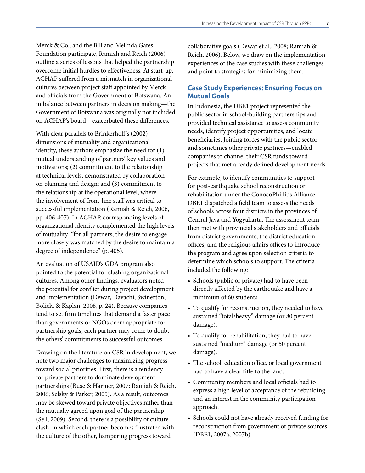<span id="page-8-0"></span>Merck & Co., and the Bill and Melinda Gates Foundation participate, Ramiah and Reich (2006) outline a series of lessons that helped the partnership overcome initial hurdles to effectiveness. At start-up, ACHAP suffered from a mismatch in organizational cultures between project staff appointed by Merck and officials from the Government of Botswana. An imbalance between partners in decision making—the Government of Botswana was originally not included on ACHAP's board—exacerbated these differences.

With clear parallels to Brinkerhoff's (2002) dimensions of mutuality and organizational identity, these authors emphasize the need for (1) mutual understanding of partners' key values and motivations; (2) commitment to the relationship at technical levels, demonstrated by collaboration on planning and design; and (3) commitment to the relationship at the operational level, where the involvement of front-line staff was critical to successful implementation (Ramiah & Reich, 2006, pp. 406-407). In ACHAP, corresponding levels of organizational identity complemented the high levels of mutuality: "for all partners, the desire to engage more closely was matched by the desire to maintain a degree of independence" (p. 405).

An evaluation of USAID's GDA program also pointed to the potential for clashing organizational cultures. Among other findings, evaluators noted the potential for conflict during project development and implementation (Dewar, Davachi, Swinerton, Bolick, & Kaplan, 2008, p. 24). Because companies tend to set firm timelines that demand a faster pace than governments or NGOs deem appropriate for partnership goals, each partner may come to doubt the others' commitments to successful outcomes.

Drawing on the literature on CSR in development, we note two major challenges to maximizing progress toward social priorities. First, there is a tendency for private partners to dominate development partnerships (Buse & Harmer, 2007; Ramiah & Reich, 2006; Selsky & Parker, 2005). As a result, outcomes may be skewed toward private objectives rather than the mutually agreed upon goal of the partnership (Sell, 2009). Second, there is a possibility of culture clash, in which each partner becomes frustrated with the culture of the other, hampering progress toward

collaborative goals (Dewar et al., 2008; Ramiah & Reich, 2006). Below, we draw on the implementation experiences of the case studies with these challenges and point to strategies for minimizing them.

#### **Case Study Experiences: Ensuring Focus on Mutual Goals**

In Indonesia, the DBE1 project represented the public sector in school-building partnerships and provided technical assistance to assess community needs, identify project opportunities, and locate beneficiaries. Joining forces with the public sector and sometimes other private partners—enabled companies to channel their CSR funds toward projects that met already defined development needs.

For example, to identify communities to support for post-earthquake school reconstruction or rehabilitation under the ConocoPhillips Alliance, DBE1 dispatched a field team to assess the needs of schools across four districts in the provinces of Central Java and Yogyakarta. The assessment team then met with provincial stakeholders and officials from district governments, the district education offices, and the religious affairs offices to introduce the program and agree upon selection criteria to determine which schools to support. The criteria included the following:

- Schools (public or private) had to have been directly affected by the earthquake and have a minimum of 60 students.
- To qualify for reconstruction, they needed to have sustained "total/heavy" damage (or 80 percent damage).
- To qualify for rehabilitation, they had to have sustained "medium" damage (or 50 percent damage).
- The school, education office, or local government had to have a clear title to the land.
- • Community members and local officials had to express a high level of acceptance of the rebuilding and an interest in the community participation approach.
- Schools could not have already received funding for reconstruction from government or private sources (DBE1, 2007a, 2007b).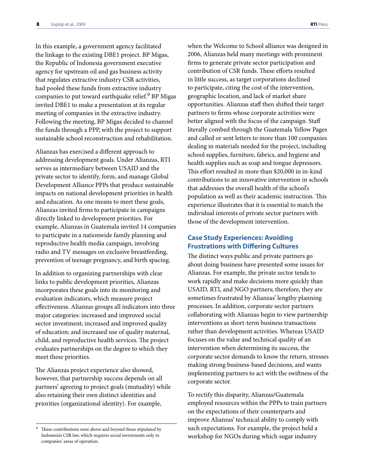<span id="page-9-0"></span>In this example, a government agency facilitated the linkage to the existing DBE1 project. BP Migas, the Republic of Indonesia government executive agency for upstream oil and gas business activity that regulates extractive industry CSR activities, had pooled these funds from extractive industry companies to put toward earthquake relief.<sup>9</sup> BP Migas invited DBE1 to make a presentation at its regular meeting of companies in the extractive industry. Following the meeting, BP Migas decided to channel the funds through a PPP, with the project to support sustainable school reconstruction and rehabilitation.

Alianzas has exercised a different approach to addressing development goals. Under Alianzas, RTI serves as intermediary between USAID and the private sector to identify, form, and manage Global Development Alliance PPPs that produce sustainable impacts on national development priorities in health and education. As one means to meet these goals, Alianzas invited firms to participate in campaigns directly linked to development priorities. For example, Alianzas in Guatemala invited 14 companies to participate in a nationwide family planning and reproductive health media campaign, involving radio and TV messages on exclusive breastfeeding, prevention of teenage pregnancy, and birth spacing.

In addition to organizing partnerships with clear links to public development priorities, Alianzas incorporates these goals into its monitoring and evaluation indicators, which measure project effectiveness. Alianzas groups all indicators into three major categories: increased and improved social sector investment; increased and improved quality of education; and increased use of quality maternal, child, and reproductive health services. The project evaluates partnerships on the degree to which they meet these priorities.

The Alianzas project experience also showed, however, that partnership success depends on all partners' agreeing to project goals (mutuality) while also retaining their own distinct identities and priorities (organizational identity). For example,

when the Welcome to School alliance was designed in 2006, Alianzas held many meetings with prominent firms to generate private sector participation and contribution of CSR funds. These efforts resulted in little success, as target corporations declined to participate, citing the cost of the intervention, geographic location, and lack of market share opportunities. Alianzas staff then shifted their target partners to firms whose corporate activities were better aligned with the focus of the campaign. Staff literally combed through the Guatemala Yellow Pages and called or sent letters to more than 100 companies dealing in materials needed for the project, including school supplies, furniture, fabrics, and hygiene and health supplies such as soap and tongue depressors. This effort resulted in more than \$20,000 in in-kind contributions to an innovative intervention in schools that addresses the overall health of the school's population as well as their academic instruction. This experience illustrates that it is essential to match the individual interests of private sector partners with those of the development intervention.

#### **Case Study Experiences: Avoiding Frustrations with Differing Cultures**

The distinct ways public and private partners go about doing business have presented some issues for Alianzas. For example, the private sector tends to work rapidly and make decisions more quickly than USAID, RTI, and NGO partners; therefore, they are sometimes frustrated by Alianzas' lengthy planning processes. In addition, corporate sector partners collaborating with Alianzas begin to view partnership interventions as short-term business transactions rather than development activities. Whereas USAID focuses on the value and technical quality of an intervention when determining its success, the corporate sector demands to know the return, stresses making strong business-based decisions, and wants implementing partners to act with the swiftness of the corporate sector.

To rectify this disparity, Alianzas/Guatemala employed resources within the PPPs to train partners on the expectations of their counterparts and improve Alianzas' technical ability to comply with such expectations. For example, the project held a workshop for NGOs during which sugar industry

These contributions were above and beyond those stipulated by Indonesia's CSR law, which requires social investments only in companies' areas of operation.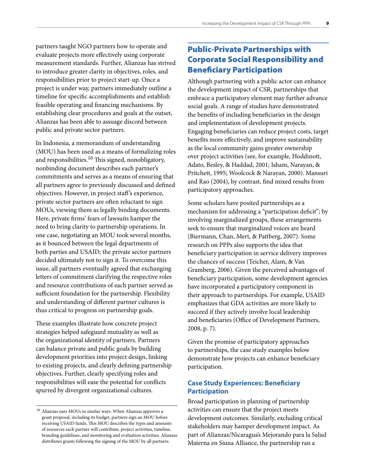<span id="page-10-0"></span>partners taught NGO partners how to operate and evaluate projects more effectively using corporate measurement standards. Further, Alianzas has strived to introduce greater clarity in objectives, roles, and responsibilities prior to project start-up. Once a project is under way, partners immediately outline a timeline for specific accomplishments and establish feasible operating and financing mechanisms. By establishing clear procedures and goals at the outset, Alianzas has been able to assuage discord between public and private sector partners.

In Indonesia, a memorandum of understanding (MOU) has been used as a means of formalizing roles and responsibilities.<sup>10</sup> This signed, nonobligatory, nonbinding document describes each partner's commitments and serves as a means of ensuring that all partners agree to previously discussed and defined objectives. However, in project staff 's experience, private sector partners are often reluctant to sign MOUs, viewing them as legally binding documents. Here, private firms' fears of lawsuits hamper the need to bring clarity to partnership operations. In one case, negotiating an MOU took several months, as it bounced between the legal departments of both parties and USAID; the private sector partners decided ultimately not to sign it. To overcome this issue, all partners eventually agreed that exchanging letters of commitment clarifying the respective roles and resource contributions of each partner served as sufficient foundation for the partnership. Flexibility and understanding of different partner cultures is thus critical to progress on partnership goals.

These examples illustrate how concrete project strategies helped safeguard mutuality as well as the organizational identity of partners. Partners can balance private and public goals by building development priorities into project design, linking to existing projects, and clearly defining partnership objectives. Further, clearly specifying roles and responsibilities will ease the potential for conflicts spurred by divergent organizational cultures.

## Public-Private Partnerships with Corporate Social Responsibility and Beneficiary Participation

Although partnering with a public actor can enhance the development impact of CSR, partnerships that embrace a participatory element may further advance social goals. A range of studies have demonstrated the benefits of including beneficiaries in the design and implementation of development projects. Engaging beneficiaries can reduce project costs, target benefits more effectively, and improve sustainability as the local community gains greater ownership over project activities (see, for example, Hoddinott, Adato, Besley, & Haddad, 2001; Isham, Narayan, & Pritchett, 1995; Woolcock & Narayan, 2000). Mansuri and Rao (2004), by contrast, find mixed results from participatory approaches.

Some scholars have posited partnerships as a mechanism for addressing a "participation deficit"; by involving marginalized groups, these arrangements seek to ensure that marginalized voices are heard (Biermann, Chan, Mert, & Pattberg, 2007). Some research on PPPs also supports the idea that beneficiary participation in service delivery improves the chances of success (Teicher, Alam, & Van Gramberg, 2006). Given the perceived advantages of beneficiary participation, some development agencies have incorporated a participatory component in their approach to partnerships. For example, USAID emphasizes that GDA activities are more likely to succeed if they actively involve local leadership and beneficiaries (Office of Development Partners, 2008, p. 7).

Given the promise of participatory approaches to partnerships, the case study examples below demonstrate how projects can enhance beneficiary participation.

#### **Case Study Experiences: Beneficiary Participation**

Broad participation in planning of partnership activities can ensure that the project meets development outcomes. Similarly, excluding critical stakeholders may hamper development impact. As part of Alianzas/Nicaragua's Mejorando para la Salud Materna en Siuna Alliance, the partnership ran a

<sup>10</sup> Alianzas uses MOUs in similar ways. When Alianzas approves a grant proposal, including its budget, partners sign an MOU before receiving USAID funds. This MOU describes the types and amounts of resources each partner will contribute, project activities, timeline, branding guidelines, and monitoring and evaluation activities. Alianzas distributes grants following the signing of the MOU by all partners.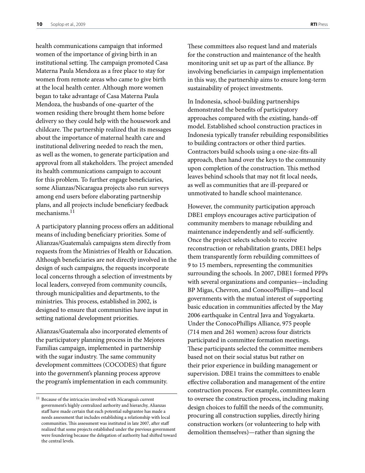health communications campaign that informed women of the importance of giving birth in an institutional setting. The campaign promoted Casa Materna Paula Mendoza as a free place to stay for women from remote areas who came to give birth at the local health center. Although more women began to take advantage of Casa Materna Paula Mendoza, the husbands of one-quarter of the women residing there brought them home before delivery so they could help with the housework and childcare. The partnership realized that its messages about the importance of maternal health care and institutional delivering needed to reach the men, as well as the women, to generate participation and approval from all stakeholders. The project amended its health communications campaign to account for this problem. To further engage beneficiaries, some Alianzas/Nicaragua projects also run surveys among end users before elaborating partnership plans, and all projects include beneficiary feedback mechanisms. $^{11}$ 

A participatory planning process offers an additional means of including beneficiary priorities. Some of Alianzas/Guatemala's campaigns stem directly from requests from the Ministries of Health or Education. Although beneficiaries are not directly involved in the design of such campaigns, the requests incorporate local concerns through a selection of investments by local leaders, conveyed from community councils, through municipalities and departments, to the ministries. This process, established in 2002, is designed to ensure that communities have input in setting national development priorities.

Alianzas/Guatemala also incorporated elements of the participatory planning process in the Mejores Familias campaign, implemented in partnership with the sugar industry. The same community development committees (COCODES) that figure into the government's planning process approve the program's implementation in each community.

These committees also request land and materials for the construction and maintenance of the health monitoring unit set up as part of the alliance. By involving beneficiaries in campaign implementation in this way, the partnership aims to ensure long-term sustainability of project investments.

In Indonesia, school-building partnerships demonstrated the benefits of participatory approaches compared with the existing, hands-off model. Established school construction practices in Indonesia typically transfer rebuilding responsibilities to building contractors or other third parties. Contractors build schools using a one-size-fits-all approach, then hand over the keys to the community upon completion of the construction. This method leaves behind schools that may not fit local needs, as well as communities that are ill-prepared or unmotivated to handle school maintenance.

However, the community participation approach DBE1 employs encourages active participation of community members to manage rebuilding and maintenance independently and self-sufficiently. Once the project selects schools to receive reconstruction or rehabilitation grants, DBE1 helps them transparently form rebuilding committees of 9 to 15 members, representing the communities surrounding the schools. In 2007, DBE1 formed PPPs with several organizations and companies—including BP Migas, Chevron, and ConocoPhillips—and local governments with the mutual interest of supporting basic education in communities affected by the May 2006 earthquake in Central Java and Yogyakarta. Under the ConocoPhillips Alliance, 975 people (714 men and 261 women) across four districts participated in committee formation meetings. These participants selected the committee members based not on their social status but rather on their prior experience in building management or supervision. DBE1 trains the committees to enable effective collaboration and management of the entire construction process. For example, committees learn to oversee the construction process, including making design choices to fulfill the needs of the community, procuring all construction supplies, directly hiring construction workers (or volunteering to help with demolition themselves)—rather than signing the

<sup>&</sup>lt;sup>11</sup> Because of the intricacies involved with Nicaragua's current government's highly centralized authority and hierarchy, Alianzas staff have made certain that each potential subgrantee has made a needs assessment that includes establishing a relationship with local communities. This assessment was instituted in late 2007, after staff realized that some projects established under the previous government were foundering because the delegation of authority had shifted toward the central levels.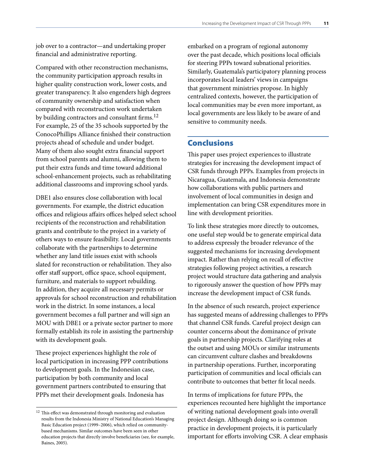<span id="page-12-0"></span>job over to a contractor—and undertaking proper financial and administrative reporting.

Compared with other reconstruction mechanisms, the community participation approach results in higher quality construction work, lower costs, and greater transparency. It also engenders high degrees of community ownership and satisfaction when compared with reconstruction work undertaken by building contractors and consultant firms.<sup>12</sup> For example, 25 of the 35 schools supported by the ConocoPhillips Alliance finished their construction projects ahead of schedule and under budget. Many of them also sought extra financial support from school parents and alumni, allowing them to put their extra funds and time toward additional school-enhancement projects, such as rehabilitating additional classrooms and improving school yards.

DBE1 also ensures close collaboration with local governments. For example, the district education offices and religious affairs offices helped select school recipients of the reconstruction and rehabilitation grants and contribute to the project in a variety of others ways to ensure feasibility. Local governments collaborate with the partnerships to determine whether any land title issues exist with schools slated for reconstruction or rehabilitation. They also offer staff support, office space, school equipment, furniture, and materials to support rebuilding. In addition, they acquire all necessary permits or approvals for school reconstruction and rehabilitation work in the district. In some instances, a local government becomes a full partner and will sign an MOU with DBE1 or a private sector partner to more formally establish its role in assisting the partnership with its development goals.

These project experiences highlight the role of local participation in increasing PPP contributions to development goals. In the Indonesian case, participation by both community and local government partners contributed to ensuring that PPPs met their development goals. Indonesia has

embarked on a program of regional autonomy over the past decade, which positions local officials for steering PPPs toward subnational priorities. Similarly, Guatemala's participatory planning process incorporates local leaders' views in campaigns that government ministries propose. In highly centralized contexts, however, the participation of local communities may be even more important, as local governments are less likely to be aware of and sensitive to community needs.

#### Conclusions

This paper uses project experiences to illustrate strategies for increasing the development impact of CSR funds through PPPs. Examples from projects in Nicaragua, Guatemala, and Indonesia demonstrate how collaborations with public partners and involvement of local communities in design and implementation can bring CSR expenditures more in line with development priorities.

To link these strategies more directly to outcomes, one useful step would be to generate empirical data to address expressly the broader relevance of the suggested mechanisms for increasing development impact. Rather than relying on recall of effective strategies following project activities, a research project would structure data gathering and analysis to rigorously answer the question of how PPPs may increase the development impact of CSR funds.

In the absence of such research, project experience has suggested means of addressing challenges to PPPs that channel CSR funds. Careful project design can counter concerns about the dominance of private goals in partnership projects. Clarifying roles at the outset and using MOUs or similar instruments can circumvent culture clashes and breakdowns in partnership operations. Further, incorporating participation of communities and local officials can contribute to outcomes that better fit local needs.

In terms of implications for future PPPs, the experiences recounted here highlight the importance of writing national development goals into overall project design. Although doing so is common practice in development projects, it is particularly important for efforts involving CSR. A clear emphasis

 $^{\rm 12}$  This effect was demonstrated through monitoring and evaluation results from the Indonesia Ministry of National Education's Managing Basic Education project (1999–2006), which relied on communitybased mechanisms. Similar outcomes have been seen in other education projects that directly involve beneficiaries (see, for example, Baines, 2005).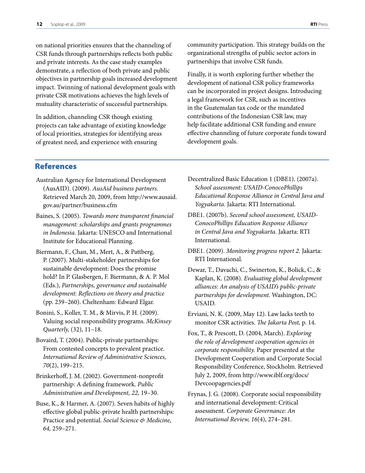<span id="page-13-0"></span>on national priorities ensures that the channeling of CSR funds through partnerships reflects both public and private interests. As the case study examples demonstrate, a reflection of both private and public objectives in partnership goals increased development impact. Twinning of national development goals with private CSR motivations achieves the high levels of mutuality characteristic of successful partnerships.

In addition, channeling CSR though existing projects can take advantage of existing knowledge of local priorities, strategies for identifying areas of greatest need, and experience with ensuring

community participation. This strategy builds on the organizational strengths of public sector actors in partnerships that involve CSR funds.

Finally, it is worth exploring further whether the development of national CSR policy frameworks can be incorporated in project designs. Introducing a legal framework for CSR, such as incentives in the Guatemalan tax code or the mandated contributions of the Indonesian CSR law, may help facilitate additional CSR funding and ensure effective channeling of future corporate funds toward development goals.

## References

- Australian Agency for International Development (AusAID). (2009). *AusAid business partners.* [Retrieved March 20, 2009, from http://www.ausaid.](http://www.ausaid.gov.au/partner/business.cfm) gov.au/partner/business.cfm
- Baines, S. (2005). *Towards more transparent financial management: scholarships and grants programmes in Indonesia.* Jakarta: UNESCO and International Institute for Educational Planning.
- Biermann, F., Chan, M., Mert, A., & Pattberg, P. (2007). Multi-stakeholder partnerships for sustainable development: Does the promise hold? In P. Glasbergen, F. Biermann, & A. P. Mol (Eds.), *Partnerships, governance and sustainable development: Reflections on theory and practice*  (pp. 239–260). Cheltenham: Edward Elgar.
- Bonini, S., Koller, T. M., & Mirvis, P. H. (2009). Valuing social responsibility programs. *McKinsey Quarterly,* (32), 11–18.
- Bovaird, T. (2004). Public-private partnerships: From contested concepts to prevalent practice. *International Review of Administrative Sciences, 70*(2), 199–215.
- Brinkerhoff, J. M. (2002). Government-nonprofit partnership: A defining framework. *Public Administration and Development, 22,* 19–30.
- Buse, K., & Harmer, A. (2007). Seven habits of highly effective global public-private health partnerships: Practice and potential. *Social Science & Medicine, 64,* 259–271.

Decentralized Basic Education 1 (DBE1). (2007a). *School assessment: USAID-ConocoPhillips Educational Response Alliance in Central Java and Yogyakarta.* Jakarta: RTI International.

- DBE1. (2007b). *Second school assessment, USAID-ConocoPhillips Education Response Alliance in Central Java and Yogyakarta.* Jakarta: RTI International.
- DBE1. (2009). *Monitoring progress report 2.* Jakarta: RTI International.
- Dewar, T., Davachi, C., Swinerton, K., Bolick, C., & Kaplan, K. (2008). *Evaluating global development alliances: An analysis of USAID's public-private partnerships for development.* Washington, DC: USAID.
- Erviani, N. K. (2009, May 12). Law lacks teeth to monitor CSR activities. *The Jakarta Post,* p. 14.
- Fox, T., & Prescott, D. (2004, March). *Exploring the role of development cooperation agencies in corporate responsibility.* Paper presented at the Development Cooperation and Corporate Social Responsibility Conference, Stockholm. Retrieved [July 2, 2009, from http://www.iblf.org/docs/](http://www.iblf.org/docs/Devcoopagencies.pdf) Devcoopagencies.pdf
- Frynas, J. G. (2008). Corporate social responsibility and international development: Critical assessment. *Corporate Governance: An International Review, 16*(4), 274–281.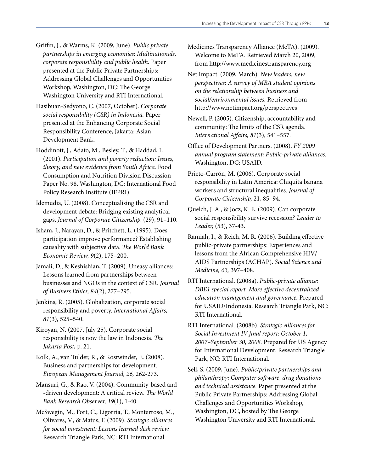- Griffin, J., & Warms, K. (2009, June). *Public private partnerships in emerging economies: Multinationals, corporate responsibility and public health.* Paper presented at the Public Private Partnerships: Addressing Global Challenges and Opportunities Workshop, Washington, DC: The George Washington University and RTI International.
- Hasibuan-Sedyono, C. (2007, October). *Corporate social responsibility (CSR) in Indonesia.* Paper presented at the Enhancing Corporate Social Responsibility Conference, Jakarta: Asian Development Bank.
- Hoddinott, J., Adato, M., Besley, T., & Haddad, L. (2001). *Participation and poverty reduction: Issues, theory, and new evidence from South Africa.* Food Consumption and Nutrition Division Discussion Paper No. 98. Washington, DC: International Food Policy Research Institute (IFPRI).
- Idemudia, U. (2008). Conceptualising the CSR and development debate: Bridging existing analytical gaps. *Journal of Corporate Citizenship,* (29), 91–110.
- Isham, J., Narayan, D., & Pritchett, L. (1995). Does participation improve performance? Establishing causality with subjective data. *The World Bank Economic Review, 9*(2), 175–200.
- Jamali, D., & Keshishian, T. (2009). Uneasy alliances: Lessons learned from partnerships between businesses and NGOs in the context of CSR. *Journal of Business Ethics, 84*(2), 277–295.
- Jenkins, R. (2005). Globalization, corporate social responsibility and poverty. *International Affairs, 81*(3), 525–540.
- Kiroyan, N. (2007, July 25). Corporate social responsibility is now the law in Indonesia. *The Jakarta Post,* p. 21.
- Kolk, A., van Tulder, R., & Kostwinder, E. (2008). Business and partnerships for development. *European Management Journal, 26,* 262-273.
- Mansuri, G., & Rao, V. (2004). Community-based and -driven development: A critical review. *The World Bank Research Observer, 19*(1), 1-40.
- McSwegin, M., Fort, C., Ligorria, T., Monterroso, M., Olivares, V., & Matus, F. (2009). *Strategic alliances for social investment: Lessons learned desk review.*  Research Triangle Park, NC: RTI International.

Medicines Transparency Alliance (MeTA). (2009). Welcome to MeTA. Retrieved March 20, 2009, from http://www.medicinestransparency.org

- Net Impact. (2009, March). *New leaders, new perspectives: A survey of MBA student opinions on the relationship between business and social/environmental issues.* Retrieved from http://www.netimpact.org/perspectives
- Newell, P. (2005). Citizenship, accountability and community: The limits of the CSR agenda. *International Affairs, 81*(3), 541–557.
- Office of Development Partners. (2008). *FY 2009 annual program statement: Public-private alliances.* Washington, DC: USAID.
- Prieto-Carrón, M. (2006). Corporate social responsibility in Latin America: Chiquita banana workers and structural inequalities. *Journal of Corporate Citizenship,* 21, 85–94.
- Quelch, J. A., & Jocz, K. E. (2009). Can corporate social responsibility survive recession? *Leader to Leader,* (53), 37-43.
- Ramiah, I., & Reich, M. R. (2006). Building effective public-private partnerships: Experiences and lessons from the African Comprehensive HIV/ AIDS Partnerships (ACHAP). *Social Science and Medicine, 63,* 397–408.
- RTI International. (2008a). *Public-private alliance: DBE1 special report. More effective decentralized education management and governance.* Prepared for USAID/Indonesia. Research Triangle Park, NC: RTI International.
- RTI International. (2008b). *Strategic Alliances for Social Investment IV final report: October 1, 2007–September 30, 2008.* Prepared for US Agency for International Development. Research Triangle Park, NC: RTI International.
- Sell, S. (2009, June). *Public/private partnerships and philanthropy: Computer software, drug donations and technical assistance.* Paper presented at the Public Private Partnerships: Addressing Global Challenges and Opportunities Workshop, Washington, DC, hosted by The George Washington University and RTI International.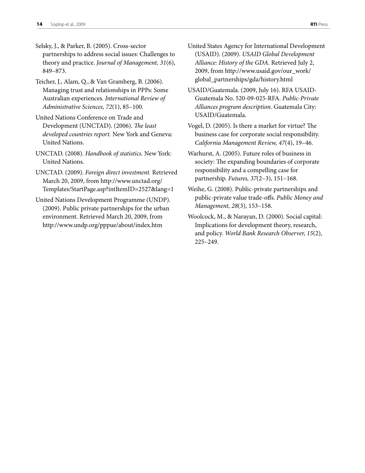- Selsky, J., & Parker, B. (2005). Cross-sector partnerships to address social issues: Challenges to theory and practice. *Journal of Management, 31*(6), 849–873.
- Teicher, J., Alam, Q., & Van Gramberg, B. (2006). Managing trust and relationships in PPPs: Some Australian experiences. *International Review of Administrative Sciences, 72*(1), 85–100.
- United Nations Conference on Trade and Development (UNCTAD). (2006). *The least developed countries report.* New York and Geneva: United Nations.
- UNCTAD. (2008). *Handbook of statistics.* New York: United Nations.
- UNCTAD. (2009). *Foreign direct investment.* Retrieved March 20, 2009, from http://www.unctad.org/ [Templates/StartPage.asp?intItemID=2527&lang=1](http://www.unctad.org/Templates/StartPage.asp?intItemID=2527&lang=1)
- United Nations Development Programme (UNDP). (2009). Public private partnerships for the urban environment. Retrieved March 20, 2009, from http://www.undp.org/pppue/about/index.htm
- United States Agency for International Development (USAID). (2009). *USAID Global Development Alliance: History of the GDA.* Retrieved July 2, [2009, from http://www.usaid.gov/our\\_work/](http://www.usaid.gov/our_work/global_partnerships/gda/history.html) global\_partnerships/gda/history.html
- USAID/Guatemala. (2009, July 16). RFA USAID-Guatemala No. 520-09-025-RFA. *Public-Private Alliances program description.* Guatemala City: USAID/Guatemala.
- Vogel, D. (2005). Is there a market for virtue? The business case for corporate social responsibility. *California Management Review, 47*(4), 19–46.
- Warhurst, A. (2005). Future roles of business in society: The expanding boundaries of corporate responsibility and a compelling case for partnership. *Futures, 37*(2–3), 151–168.
- Weihe, G. (2008). Public-private partnerships and public-private value trade-offs. *Public Money and Management, 28*(3), 153–158.
- Woolcock, M., & Narayan, D. (2000). Social capital: Implications for development theory, research, and policy. *World Bank Research Observer, 15*(2), 225–249.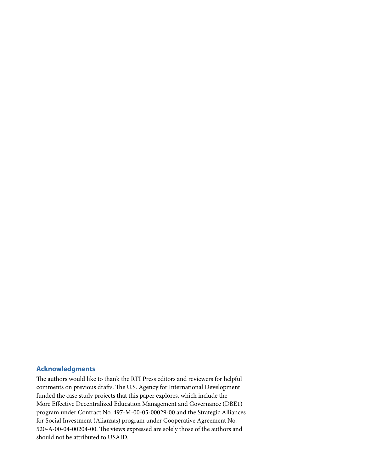#### <span id="page-16-0"></span>**Acknowledgments**

The authors would like to thank the RTI Press editors and reviewers for helpful comments on previous drafts. The U.S. Agency for International Development funded the case study projects that this paper explores, which include the More Effective Decentralized Education Management and Governance (DBE1) program under Contract No. 497-M-00-05-00029-00 and the Strategic Alliances for Social Investment (Alianzas) program under Cooperative Agreement No. 520-A-00-04-00204-00. The views expressed are solely those of the authors and should not be attributed to USAID.